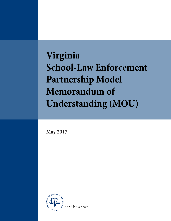**Virginia School-Law Enforcement Partnership Model Memorandum of Understanding (MOU)**

**May 2017**

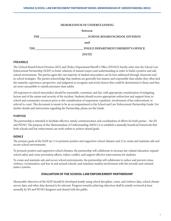#### **MEMORANDUM OF UNDERSTANDING**

|            | <b>between</b>                      |
|------------|-------------------------------------|
| THE        | <b>SCHOOL BOARD/SCHOOL DIVISION</b> |
|            | and                                 |
| <b>THE</b> | POLICE DEPARTMENT/SHERIFF'S OFFICE  |
|            | [DATE]                              |

### **PREAMBLE**

The [School Board/School Division (SD)] and [Police Department/Sheriff 's Office (PD/SO)] hereby enter into the School-Law Enforcement Partnership (SLEP) to foster relations of mutual respect and understanding in order to build a positive and safe school environment. The parties agree the vast majority of student misconduct can be best addressed through classroom and in-school strategies. The parties acknowledge that students are generally less mature and responsible than adults; they often lack the maturity, experience, perspective, and judgment to recognize and avoid choices that could be detrimental to them; and they are more susceptible to outside pressures than adults.

All responses to school misconduct should be reasonable, consistent, and fair, with appropriate consideration of mitigating factors and of the nature and severity of the incident. Students should receive appropriate redirection and support from inschool and community resources prior to the consideration of suspension, expulsion, involvement of law enforcement, or referral to court. This document is meant to be an accompaniment to the School and Law Enforcement Partnership Guide. For further details and instructions regarding the Partnership, please see the Guide.

### **PURPOSE**

The partnership is intended to facilitate effective, timely communication and coordination of efforts for both parties – the SD and PD/SO. The purpose of this Memorandum of Understanding (MOU) is to establish a mutually beneficial framework that both schools and law enforcement can work within to achieve shared goals.

### **GOALS**

The primary goals of the SLEP are 1) to promote positive and supportive school climates and 2) to create and maintain safe and secure school environments.

To promote positive and supportive school climates, the partnership will collaborate to increase law-related education, expand school safety and crime prevention efforts, reduce conflict, and support effective interventions for students.

To create and maintain safe and secure school environments, the partnership will collaborate to reduce and prevent crime, violence, victimization, and fear in and around schools, and minimize student involvement with the juvenile and criminal justice systems.

### **EVALUATION OF THE SCHOOL-LAW ENFORCEMENT PARTNERSHIP**

Measurable objectives of the SLEP should be developed jointly using school discipline, crime, and violence data, school climate survey data, and other data deemed to be relevant. Progress towards achieving objectives shall be jointly reviewed at least annually by SD and PD/SO designees and shared with the public.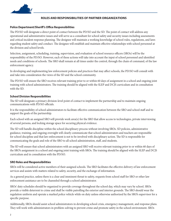

## **ROLES AND RESPONSIBILITIES OF PARTNER ORGANIZATIONS**

## **Police Department/Sheriff's Office Responsibilities**

The PD/SO will designate a direct point of contact between the PD/SO and the SD. The point of contact will address any operational and administrative issues and will serve as a consultant for school safety and security issues including assessments and critical incident response planning. The designee will maintain a working knowledge of school rules, regulations, and laws regarding student safety and conduct. The designee will establish and maintain effective relationships with school personnel at the division and school levels.

Selection, assignment, scheduling, training, supervision, and evaluation of school resource officers (SROs) will be the responsibility of the PD/SO. However, each of these actions will take into account the input of school personnel and identified needs and conditions of schools. The SRO shall remain at all times under the control, through the chain of command, of the law enforcement agency.

In developing and implementing law enforcement policies and practices that may affect schools, the PD/SO will consult with and take into consideration the views of the SD and the school community.

The PD/SO will ensure the SRO receives relevant training prior to or within 60 days of assignment in a school and ongoing joint training with school administrators. The training should be aligned with the SLEP and DCJS curriculum and in consultation with the SD.

### **School Division Responsibilities**

The SD will designate a primary division-level point of contact to implement the partnership and to maintain ongoing communications with PD/SO officials.

It is the responsibility of school administrators to facilitate effective communication between the SRO and school staff and to support the goals of the partnership.

Each school with an assigned SRO will provide work area(s) for the SRO that allow access to technologies, private interviewing of several persons, and locking storage space for securing physical evidence.

The SD will handle discipline within the school disciplinary process without involving SROs. SD policies, administrative guidance, training, and ongoing oversight will clearly communicate that school administrators and teachers are responsible for school discipline and that law enforcement is not to be involved with disciplinary action. The SD is responsible for communicating the goals and role of the SRO to all school administration, staff, and students.

The SD will ensure that school administrators with an assigned SRO will receive relevant training prior to or within 60 days of the SRO's assignment in a school and ongoing joint training with SROs. The training should be aligned with the SLEP and DCJS curriculum and in consultation with the PD/SO.

### **SRO Roles and Responsibilities**

SROs will be considered active members of their assigned schools. The SRO facilitates the effective delivery of law enforcement services and assists with matters related to safety, security, and the exchange of information.

As a general practice, unless there is a clear and imminent threat to safety, requests from school staff for SRO or other law enforcement assistance are to be channeled through a school administrator.

SROs' duty schedules should be organized to provide coverage throughout the school day, which may vary by school. SROs provide a visible deterrent to crime and shall be visible patrolling the exterior and interior grounds. The SRO should wear the regulation uniform and operate a marked police vehicle while on duty unless otherwise authorized by the SRO's supervisor for a specific purpose.

Additionally, SROs should assist school administrators in developing school crisis, emergency management, and response plans. They will work with administrators in problem-solving to prevent crime and promote safety in the school environment. SROs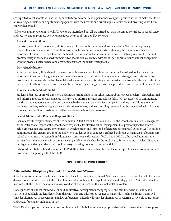are expected to collaborate with school administrators and other school personnel to support positive school climates that focus on resolving conflicts, reducing student engagement with the juvenile and criminal justice systems, and diverting youth from courts when possible.

SROs serve multiple roles in schools. The roles are interrelated but all are carried out with the aim to contribute to school safety and security and to promote positive and supportive school climates. Key roles are:

## **Law enforcement officer**

As sworn law enforcement officers, SROs' primary role in schools is as a law enforcement officer. SROs assume primary responsibility for responding to requests for assistance from administrators and coordinating the response of other law enforcement resources to the school. SROs should work with school administrators in problem solving to prevent crime and promote safety in the school environment. SROs should also collaborate with school personnel to reduce student engagement with the juvenile justice systems and divert students from the courts when possible.

## **Law-related educator**

As resources permit, SROs should strive to assist with presentations for school personnel on law-related topics such as law enforcement practices, changes in relevant laws, crime trends, crime prevention, school safety strategies, and crisis response procedures. SROs may also deliver law-related education with students using lessons/curricula approved in advance by the SRO Supervisor. In all cases, responding to incidents or conducting investigations will take precedence over delivery of presentations.

## **Informal mentor and role model**

Students often seek approval, direction, and guidance from adults in the school setting about various problems. Through formal and informal interaction with students, SROs serve as informal mentors and role models. SROs are expected to communicate clearly to students about acceptable and unacceptable behavior, to set a positive example in handling stressful situations and resolving conflicts, to show respect and consideration of others, and to express high expectations for student behavior. Students who may need additional assistance shall be referred to a school based resource.

### **School Administrator Roles and Responsibilities**

Consistent with Virginia Standards of Accreditation (2000), Section 8 VAC 20-131-210, "the school administrator is recognized as the instructional leader of the school and is responsible for effective school management that promotes positive student achievement, a safe and secure environment in which to teach and learn, and efficient use of resources." (Section A). "The school administrator also ensures that the school division's student code of conduct is enforced and seeks to maintain a safe and secure school environment. " (Section B.2) Additionally, consistent with Section 8 VAC 20-131-260.C.3., the school administration ensures "a written procedure, in accordance with guidelines established by the local board, for responding to violent, disruptive or illegal activities by students on school property or during a school-sponsored activity."

School administrators should review the SLEP MOU with SROs and establish school-specific operational and communications procedures to support goals of the SLEP.

## **OPERATIONAL PROCEDURES**

## **Differentiating Disciplinary Misconduct from Criminal Offenses**

School administrators and teachers are responsible for school discipline. Although SROs are expected to be familiar with the school division code of student conduct, the rules of individual schools, and their application in day-to-day practice, SROs should not be involved with the enforcement of school rules or disciplinary infractions that are not violations of law.

Consequences of student misconduct should be effective, developmentally appropriate, and fair. Interventions and school sanctions should help students learn from their mistakes and address root causes of misconduct. School administrators will consider alternatives to suspensions and law enforcement officials will consider alternatives to referrals to juvenile court services and arrests for student violations of law.

The SLEP shall operate in a manner to ensure children with disabilities receive appropriate behavioral interventions and supports.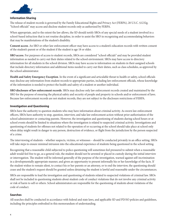

## **Information Sharing**

The release of student records is governed by the Family Educational Rights and Privacy Act (FERPA), 20 U.S.C. §1232g. "School officials" may access and disclose student records only as authorized by FERPA.

When appropriate, and to the extent the law allows, the SD should notify SROs of any special needs of a student involved in a school-based infraction that is not routine discipline, in order to assist the SRO in recognizing and accommodating behaviors that may be manifestations of the student's disability.

**Consent access**. An SRO or other law enforcement officer may have access to a student's education records with written consent of the student's parent or of the student if the student is age 18 or older.

**SRO access**. For purposes of access to student records, SROs are considered "school officials" and may be provided student information as needed to carry out their duties related to the school environment. SROs may have access to directory information for all students in the school division. SROs may have access to information on students in their assigned schools that include directory information and additional items needed to carry out their duties, such as class schedules, as approved by the school administrator.

**Health and Safety Emergency Exception**. In the event of a significant and articulable threat to health or safety, school officials may disclose any information from student records to appropriate parties, including law enforcement officials, whose knowledge of the information is needed to protect the health and safety of a student or another individual.

**SRO disclosure of law enforcement records**. SROs may disclose only law enforcement records created and maintained by the SRO for the purpose of ensuring the physical safety and security of people and property in schools and/or enforcement of laws. Because law enforcement records are not student records, they are not subject to the disclosure restrictions of FERPA.

## **Investigation and Questioning**

SROs have the authority to question students who may have information about criminal activity. As sworn law enforcement officers, SROs have authority to stop, question, interview, and take law enforcement action without prior authorization of the school administrator or contacting parents. However, the investigation and questioning of students during school hours or at school events should be limited to situations where the investigation is related to suspected criminal activity. Investigations and questioning of students for offenses not related to the operation of or occurring at the school should take place at school only when delay might result in danger to any person, destruction of evidence, or flight from the jurisdiction by the person suspected of a crime.

The interviewing of students – whether suspects, victims, or witnesses – should be conducted privately in an office setting. SROs will take steps to ensure minimal intrusion into the educational experience of students being questioned in the school setting.

Recognizing that a reasonable child subjected to police questioning will sometimes feel pressured to submit when a reasonable adult would feel free to go, as a general rule, the student should not be arrested or placed in custody during the initial interview or interrogation. The student will be informed generally of the purpose of the investigation, warned against self-incrimination in a developmentally appropriate manner, and given an opportunity to present informally his or her knowledge of the facts. If the student wishes to remain silent, to contact his or her parents or an attorney, or to end the interview, the questioning should cease and the student's request should be granted unless detaining the student is lawful and reasonable under the circumstances.

SROs are responsible to lead the investigation and questioning of students related to suspected violations of criminal law. SROs shall not be included in questioning students about student code of conduct violations that do not involve any criminal activity or risk of harm to self or others. School administrators are responsible for the questioning of students about violations of the code of conduct.

### **Searches**

All searches shall be conducted in accordance with federal and state laws, and applicable SD and PD/SO policies and guidelines, including the principles embodied in this memorandum of understanding.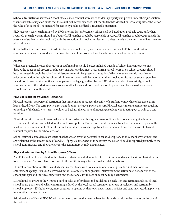**School administrator searches.** School officials may conduct searches of student's property and person under their jurisdiction when reasonable suspicion exists that the search will reveal evidence that the student has violated or is violating either the law or the rules of the school. The standard for search by a school official is reasonable suspicion.

**SRO searches.** Any search initiated by SROs or other law enforcement officer shall be based upon probable cause and, when required, a search warrant should be obtained. All searches should be reasonable in scope. All searches should occur outside the presence of students and school staff, with the exception of school administrators, unless there is a clear and immediate threat to physical safety.

SROs shall not become involved in administrative (school related) searches and at no time shall SROs request that an administrative search be conducted for law enforcement purposes or have the administrator act as his or her agent.

## **Arrests**

Whenever practical, arrests of a student or staff member should be accomplished outside of school hours in order to not disrupt the educational process or school setting. Arrests that must occur during school hours or on school grounds should be coordinated through the school administrator to minimize potential disruption. When circumstances do not allow for prior coordination through the school administrator, arrests will be reported to the school administrator as soon as possible. In addition to any required notification of parents and legal guardians by the SRO taking a student into custody, school administrators or their designees are also responsible for an additional notification to parents and legal guardians upon a school-based arrest of their child.

## **Physical Restraint by School Personnel**

Physical restraint is a personal restriction that immobilizes or reduces the ability of a student to move his or her torso, arms, legs, or head freely. The term physical restraint does not include a physical escort. Physical escort means a temporary touching or holding of the hand, wrist, arm, shoulder, or back for the purpose of inducing a student who is acting out to walk to a safe location.

Physical restraint by school personnel is used in accordance with Virginia Board of Education policies and guidelines on seclusion and restraint and related local school board policies. Every effort should be made by school personnel to prevent the need for the use of restraint. Physical restraint should not be used except by school personnel trained in the use of physical restraint required by the school division.

School staff will act to deescalate situations that are, or have the potential to cause, disruptions to the school environment and are violations of the student code of conduct. If physical intervention is necessary, the action should be reported promptly to the school administrator and the rationale for the action must be fully documented.

## **Physical Intervention by School Resource Officers**

An SRO should not be involved in the physical restraint of a student unless there is imminent danger of serious physical harm to self or others. As sworn law enforcement officers, SROs may intervene to deescalate situations.

Physical intervention by SROs is undertaken in accordance with policies and operational procedures of their local law enforcement agency. If an SRO is involved in the use of restraint or physical intervention, the action must be reported to the school principal and the SRO's supervisor and the rationale for the action must be fully documented.

SROs should be aware of the Virginia Board of Education's policies and guidelines on seclusion and restraint and related local school board policies and will attend training offered by the local school system on their use of seclusion and restraint by school employees. SROs, however, must continue to operate by their own department's policies and state law regarding physical intervention and use of force.

Additionally, the SD and PD/SRO will coordinate to ensure that reasonable effort is made to inform the parents on the day of the incident.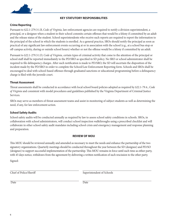

## **KEY STATUTORY RESPONSIBILITIES**

## **Crime Reporting**

Pursuant to §22.1-279.3:1.B, *Code of Virginia,* law enforcement agencies are required to notify a division superintendent, a principal, or a designee when a student in their school commits certain offenses that would be a felony if committed by an adult and the release status of the student. School superintendents who receive such reports are required to report the information to the principal of the school in which the students is enrolled. As a general practice, SROs should notify the principal as soon as practical of any significant law enforcement events occurring at or in association with the school (e.g., at a school bus stop or off-campus activity, during or outside school hours) whether or not the offense would be a felony if committed by an adult.

Pursuant to §22.1-279.3:1.D, *Code of Virginia,* certain types of criminal activity that come to the attention of the principal or school staff shall be reported immediately to the PD/SRO as specified in SD policy. No SRO or school administrator shall be required to file delinquency charges. After such notification is made to PD/SRO, the SD will ascertain the disposition of the incident made by the PD/SRO in order to complete the School/Law Enforcement Reporting form. Schools and SROs shall be encouraged to deal with school-based offenses through graduated sanctions or educational programming before a delinquency charge is filed with the juvenile court.

## **Threat Assessment**

Threat assessments shall be conducted in accordance with local school board policies adopted as required by §22.1-79.4., *Code of Virginia* and consistent with model procedures and guidelines published by the Virginia Department of Criminal Justice Services.

SROs may serve as members of threat assessment teams and assist in monitoring of subject students as well as determining the need, if any, for law enforcement action.

## **School Safety Audits**

School safety audits will be conducted annually as required by law to assess school safety conditions in schools. SROs, in collaboration with school administrators, will conduct school inspection walkthroughs using a prescribed checklist and will collaborate in other school safety audit mandates including school crisis and emergency management and response planning and preparation.

### **REVIEW OF MOU**

This MOU should be reviewed annually and amended as necessary to meet the needs and enhance the partnership of the two signatory organizations. Quarterly meetings should be conducted throughout the year between the SD (designee) and PD/SO (designee) to support successful implementation of the partnership. This MOU remains in force until such time as either party, with 45 days notice, withdraws from the agreement by delivering a written notification of such rescission to the other party.

Signed:

Chief of Police/Sheriff Superintendent of Schools

Date Date Date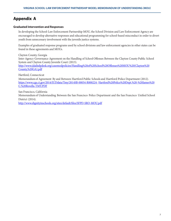# **Appendix A**

### **Graduated Intervention and Responses**

In developing the School-Law Enforcement Partnership MOU, the School Division and Law Enforcement Agency are encouraged to develop alternative responses and educational programming for school-based misconduct in order to divert youth from unnecessary involvement with the juvenile justice systems.

Examples of graduated response programs used by school divisions and law enforcement agencies in other states can be found in these agreements and MOUs.

Clayton County, Georgia Inter-Agency Governance Agreement on the Handling of School Offenses Between the Clayton County Public School System and Clayton County Juvenile Court (2013). <http://www.jdaihelpdesk.org/casemodpolicies/Handling%20of%20School%20Offenses%20MOU>%20(Clayton%20 County,%20GA).pdf

Hartford, Connecticut

Memorandum of Agreement By and Between Hartford Public Schools and Hartford Police Department (2012). https://[www.cga.ct.gov/2014/JUDdata/Tmy/2014SB-00054-R000224-](http://www.cga.ct.gov/2014/JUDdata/Tmy/2014SB-00054-R000224-) Hartford%20Police%20Dept.%20-%20James%20 C.%20Rovella-TMY.PDF

San Francisco, California

Memorandum of Understanding Between the San Francisco Police Department and the San Francisco Unified School District (2014).

<http://www.dignityinschools.org/sites/default/files/SFPD-SRO-MOU.pdf>